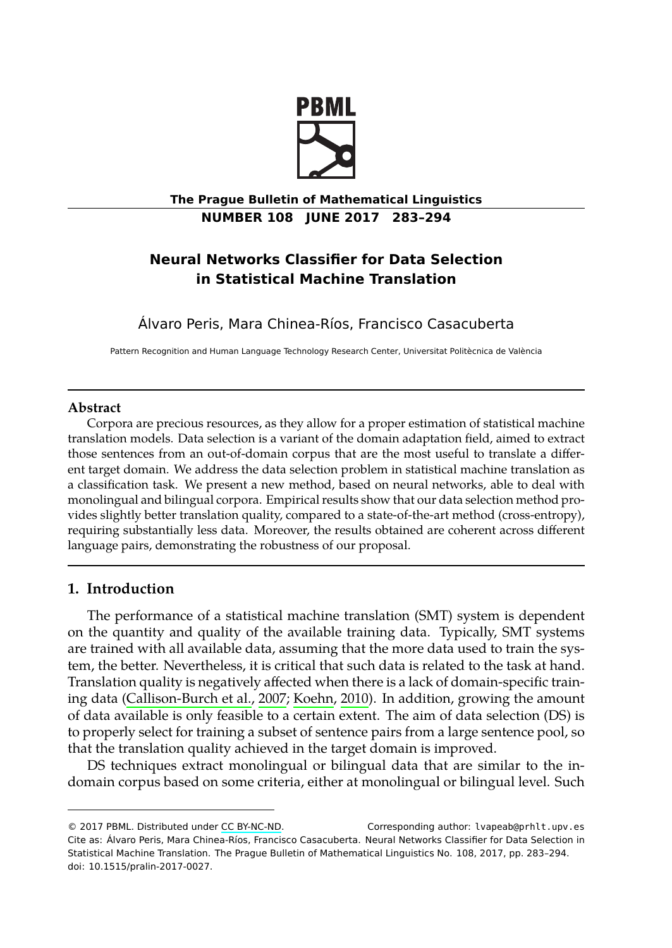

**The Prague Bulletin of Mathematical Linguistics NUMBER 108 JUNE 2017 283–294**

# **Neural Networks Classifier for Data Selection in Statistical Machine Translation**

Álvaro Peris, Mara Chinea-Ríos, Francisco Casacuberta

Pattern Recognition and Human Language Technology Research Center, Universitat Politècnica de València

## **Abstract**

Corpora are precious resources, as they allow for a proper estimation of statistical machine translation models. Data selection is a variant of the domain adaptation field, aimed to extract those sentences from an out-of-domain corpus that are the most useful to translate a different target domain. We address the data selection problem in statistical machine translation as a classification task. We present a new method, based on neural networks, able to deal with monolingual and bilingual corpora. Empirical results show that our data selection method provides slightly better translation quality, compared to a state-of-the-art method (cross-entropy), requiring substantially less data. Moreover, the results obtained are coherent across different language [pairs, demonstrating the robu](#page-10-0)s[tness of](#page-10-1) [our pr](#page-10-1)oposal.

## **1. Introduction**

The performance of a statistical machine translation (SMT) system is dependent on the quantity and quality of the available training data. Typically, SMT systems are trained with all available data, assuming that the more data used to train the system, the better. Neverthe[less, it is cr](http://creativecommons.org/licenses/by-nc-nd/3.0/)itical that such data is related to the task at hand. Translation quality is negatively affected when there is a lack of domain-specific training data (Callison-Burch et al., 2007; Koehn, 2010). In addition, growing the amount of data available is only feasible to a certain extent. The aim of data selection (DS) is to properly select for training a subset of sentence pairs from a large sentence pool, so that the translation quality achieved in the target domain is improved.

DS techniques extract monolingual or bilingual data that are similar to the indomain corpus based on some criteria, either at monolingual or bilingual level. Such

<sup>© 2017</sup> PBML. Distributed under CC BY-NC-ND. Corresponding author: lvapeab@prhlt.upv.es Cite as: Álvaro Peris, Mara Chinea-Ríos, Francisco Casacuberta. Neural Networks Classifier for Data Selection in Statistical Machine Translation. The Prague Bulletin of Mathematical Linguistics No. 108, 2017, pp. 283–294. doi: 10.1515/pralin-2017-0027.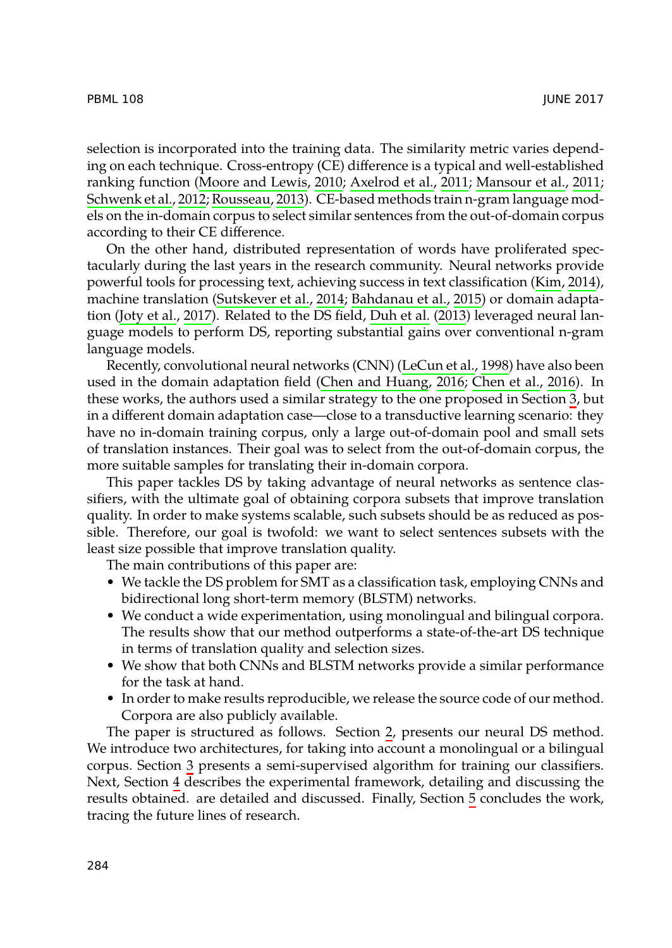selection is incorpor[ated into the training](#page-11-0) [data. The similar](#page-10-2)i[ty m](#page-10-2)etric varies depending o[n each techniqu](#page-10-3)e. Cross-entropy (CE) diff[erence is a typica](#page-10-4)l and well-established ranking function (Moore and Lewis, 2010; Axelrod et al., 2011; Mansour et al., 2011; Schwenk et al., 2012; Rousseau, 2013). CE-based methods train n-gram language models on the in-domain corpus to select si[milar sentence](#page-10-6)[s from the o](#page-10-5)[u](#page-10-7)[t-of](#page-10-5)[-dom](#page-10-7)a[in co](#page-10-7)rpus according to their CE difference.

On the other hand, distributed representation of words have proliferated [s](#page-4-0)pectacularly during the last years in the research community. Neural networks provide powerful tools for processing text, achieving success in text classification (Kim, 2014), machine translation (Sutskever et al., 2014; Bahdanau et al., 2015) or domain adaptation (Joty et al., 2017). Related to the DS field, Duh et al. (2013) leveraged neural language models to perform DS, reporting substantial gains over conventional n-gram language models.

Recently, convolutional neural networks (CNN) (LeCun et al., 1998) have also been used in the domain adaptation field (Chen and Huang, 2016; Chen et al., 2016). In these works, the authors used a similar strategy to the one proposed in Section 3, but in a different domain adaptation case—close to a transductive learning scenario: they have no in-domain training corpus, only a large out-of-domain pool and small sets of translation instances. Their goal was to select from the out-of-domain corpus, the more suitable samples for translating their in-domain corpora.

This paper tackles DS by taking advantage of neural networks as sentence classifiers, with the ultimate goal of obtaining corpora subsets that improve translation quality. In order to make systems scalable, such subsets should be as reduced as possible. Therefore, our goal is twofold: we want to select sentences subsets with the least size possible that improve translation quality.

The main contributions of this paper are:

- We tackle the DS problem for SMT as a clas[sifi](#page-2-0)cation task, employing CNNs and bidirectional long short-term memory (BLSTM) networks.
- We condu[ct](#page-4-0) a wide experimentation, using monolingual and bilingual corpora. The res[ult](#page-5-0)s show that our method outperforms a state-o[f-](#page-8-0)the-art DS technique in terms of translation quality and selection sizes.
- We show that both CNNs and BLSTM networks provide a similar performance for the task at hand.
- In order to make results reproducible, we release the source code of our method. Corpora are also publicly available.

The paper is structured as follows. Section 2, presents our neural DS method. We introduce two architectures, for taking into account a monolingual or a bilingual corpus. Section 3 presents a semi-supervised algorithm for training our classifiers. Next, Section 4 describes the experimental framework, detailing and discussing the results obtained. are detailed and discussed. Finally, Section 5 concludes the work, tracing the future lines of research.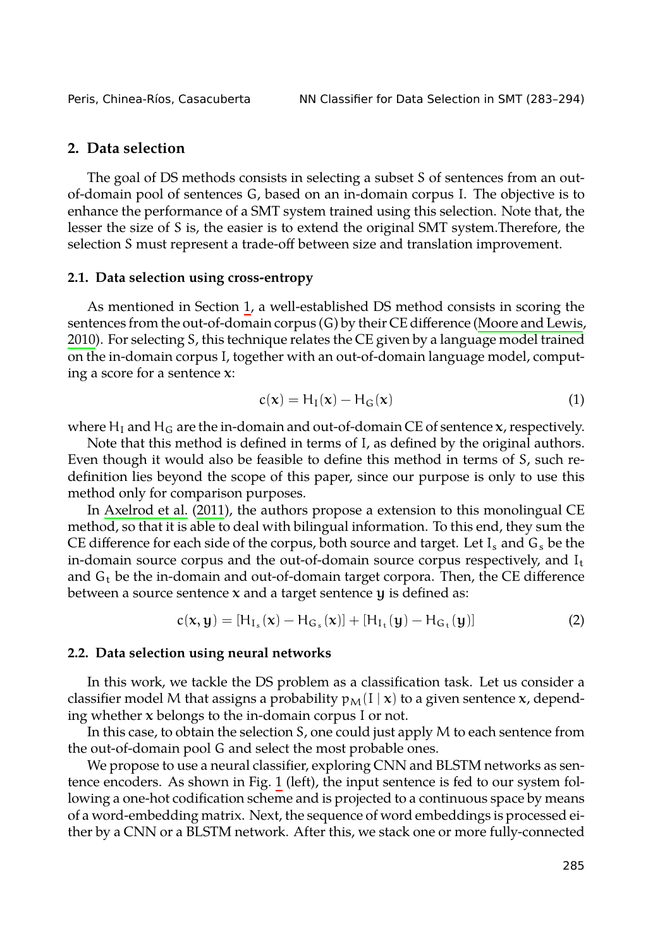<span id="page-2-0"></span>Peris, Chinea-Ríos, Casacuberta NN Classifier for Data Selection in SMT (283–294)

## **2. Data selection**

The goal of DS methods consists in selecting a subset S of sente[nces from an out](#page-11-1)[of-do](#page-11-1)main pool of sentences G, based on an in-domain corpus I. The objective is to enhance the performance of a SMT system trained using this selection. Note that, the lesser the size of S is, the easier is to extend the original SMT system.Therefore, the selection S must represent a trade-off between size and translation improvement.

#### **2.1. Data selection using cross-entropy**

As mentioned in Section 1, a well-established DS method consists in scoring the sentences from the out-of-domain corpus (G) by their CE difference (Moore and Lewis, 2010). For selecting S, this technique relates the CE given by a language model trained on th[e in-domain co](#page-9-0)r[pus](#page-9-0) I, together with an out-of-domain language model, computing a score for a sentence  $x$ :

$$
c(\mathbf{x}) = H_{\mathrm{I}}(\mathbf{x}) - H_{\mathrm{G}}(\mathbf{x}) \tag{1}
$$

where  $H_I$  and  $H_G$  are the in-domain and out-of-domain CE of sentence  $x$ , respectively.

Note that this method is defined in terms of I, as defined by the original authors. Even though it would also be feasible to define this method in terms of S, such redefinition lies beyond the scope of this paper, since our purpose is only to use this method only for comparison purposes.

In Axelrod et al. (2011), the authors propose a extension to this monolingual CE method, so that it is able to deal with bilingual information. To this end, they sum the CE difference for each side of the corpus, both source and target. Let  $I_s$  and  $G_s$  be the in-domain source corpus and the out-of-domain source corpus respectively, and  $I_t$ and  $G_t$  be the in-domain and out-of-domain target corpora. Then, the CE difference between a source sentence  $x$  and a target sentence  $y$  is defined as:

$$
c(x, y) = [H_{I_s}(x) - H_{G_s}(x)] + [H_{I_t}(y) - H_{G_t}(y)]
$$
\n(2)

#### **2.2. Data selection using neural networks**

In this work, we tackle the DS problem as a classification task. Let us consider a classifier model M that assigns a probability  $p_M(I | x)$  to a given sentence x, depending whether  $x$  belongs to the in-domain corpus I or not.

In this case, to obtain the selection S, one could just apply M to each sentence from the out-of-domain pool G and select the most probable ones.

We propose to use a neural classifier, exploring CNN and BLSTM networks as sentence encoders. As shown in Fig. 1 (left), the input sentence is fed to our system following a one-hot codification scheme and is projected to a continuous space by means of a word-embedding matrix. Next, the sequence of word embeddings is processed either by a CNN or a BLSTM network. After this, we stack one or more fully-connected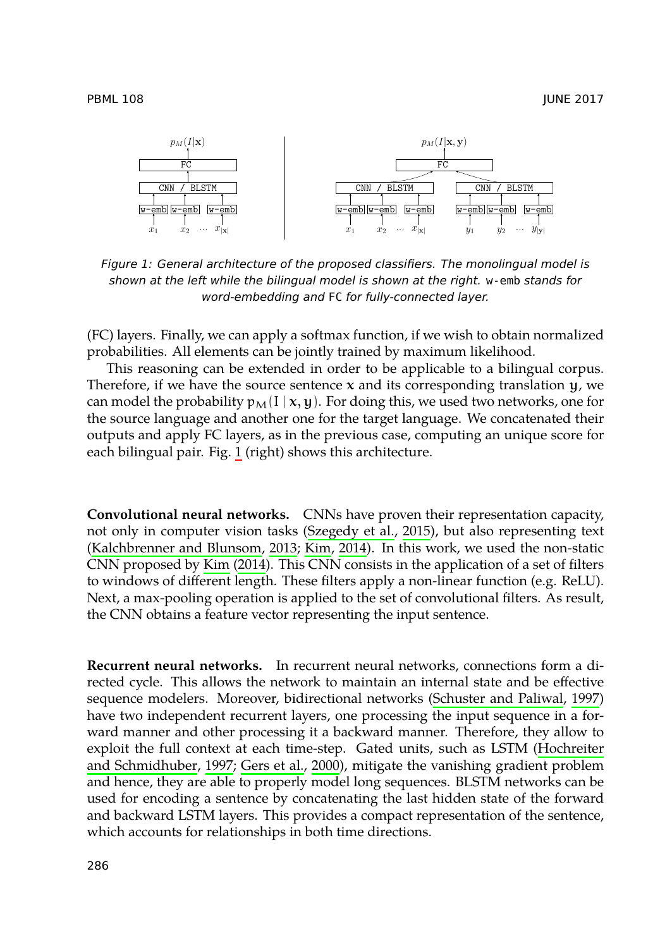<span id="page-3-0"></span>



*Figure 1: General architecture of the proposed classifiers. The monolingual model is shown at the left while the bilingual model is shown at the right.* w-emb *stands for word-[em](#page-3-0)bedding and* FC *for fully-connected layer.*

(FC) layers. Finally, we can apply a softmax function, if we wish to obtain normalized probabilities. All elements can be jointly trained by maximum likelihood.

This reasoning can be extended [in order to be appli](#page-11-2)cable to a bilingual corpus. [Therefore, if we have the source se](#page-10-8)[ntenc](#page-10-9)e  $x$  and its corresponding translation  $y$ , we can model the pro[babili](#page-10-9)ty  $p_M(I | x, y)$ . F[or doi](#page-10-9)ng this, we used two networks, one for the source language and [anot](#page-10-9)her one for the target language. We concatenated their outputs and apply FC layers, as in the previous case, computing an unique score for each bilingual pair. Fig. 1 (right) shows this architecture.

**Convolutional neural networks.** CNNs have proven their representation capacity, not only in computer vision tasks (Szegedy et al., 2015), but also representing text (Kalchbrenner and Blunsom, 2013; Kim, 2014). In this [work, we used the non-static](#page-11-3) CNN proposed by Kim (2014). This CNN consists in the application of a set of filters to windows of different length. These filters apply a non-linear function (e.g. ReLU). Next, a max-pooling operation is applied to the set of convolutional filters[. As result,](#page-10-10) [the CNN obtains a featu](#page-10-10)[re vector represen](#page-10-11)ting the input sentence.

**Recurrent neural networks.** In recurrent neural networks, connections form a directed cycle. This allows the network to maintain an internal state and be effective sequence modelers. Moreover, bidirectional networks (Schuster and Paliwal, 1997) have two independent recurrent layers, one processing the input sequence in a forward manner and other processing it a backward manner. Therefore, they allow to exploit the full context at each time-step. Gated units, such as LSTM (Hochreiter and Schmidhuber, 1997; Gers et al., 2000), mitigate the vanishing gradient problem and hence, they are able to properly model long sequences. BLSTM networks can be used for encoding a sentence by concatenating the last hidden state of the forward and backward LSTM layers. This provides a compact representation of the sentence, which accounts for relationships in both time directions.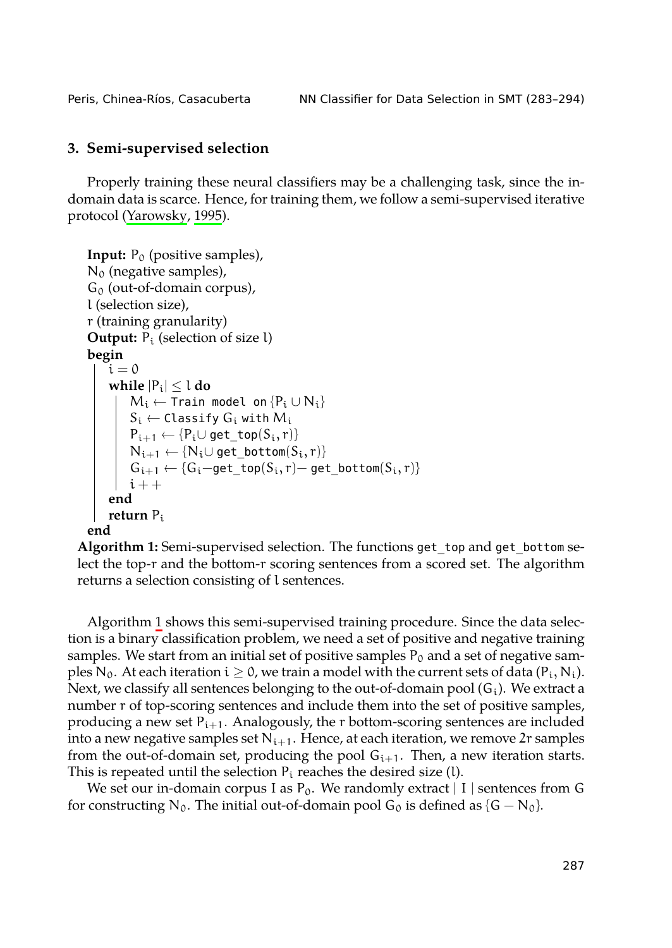<span id="page-4-1"></span><span id="page-4-0"></span>Peris, Chinea-Ríos, Casacuberta NN Classifier for Data Selection in SMT (283–294)

## **3. Semi-supervised selection**

Properly training these neural classifiers may be a challenging task, since the indomain data is scarce. Hence, for training them, we follow a semi-supervised iterative protocol (Yarowsky, 1995).

```
Input: P_0 (positive samples),
N_0 (negative samples),
G_0 (out-of-domain corpus),
l (selection size),
r (training granularity)
Output: P_i (selection of size l)
begin
    i = 0while |P_i| \leq l do
        M_i ← Train model on {P_i \cup N_i}
        S_i \leftarrow Classify G_i with M_iP_{i+1} \leftarrow \{P_i \cup get\_top(S_i, r)\}N_{i+1} \leftarrow \{N_i \cup get\_bottom(S_i, r)\}1}} \leftarrow \{\mathsf{G_i}-\mathsf{get\_top}(S_i,r)-\mathsf{get\_bottom}(S_i,r)\}i + +end
    return Pi
end
```
**Algorithm 1:** Semi-supervised selection. The functions get\_top and get\_bottom select the top-r and the bottom-r scoring sentences from a scored set. The algorithm returns a selection consisting of l sentences.

Algorithm 1 shows this semi-supervised training procedure. Since the data selection is a binary classification problem, we need a set of positive and negative training samples. We start from an initial set of positive samples  $P_0$  and a set of negative samples N<sub>0</sub>. At each iteration  $i \ge 0$ , we train a model with the current sets of data (P<sub>i</sub>, N<sub>i</sub>). Next, we classify all sentences belonging to the out-of-domain pool  $(G_i)$ . We extract a number r of top-scoring sentences and include them into the set of positive samples, producing a new set  $P_{i+1}$ . Analogously, the r bottom-scoring sentences are included into a new negative samples set  $N_{i+1}$ . Hence, at each iteration, we remove 2r samples from the out-of-domain set, producing the pool  $G_{i+1}$ . Then, a new iteration starts. This is repeated until the selection  $P_i$  reaches the desired size (l).

We set our in-domain corpus I as  $P_0$ . We randomly extract | I | sentences from G for constructing N<sub>0</sub>. The initial out-of-domain pool G<sub>0</sub> is defined as  $\{G - N_0\}$ .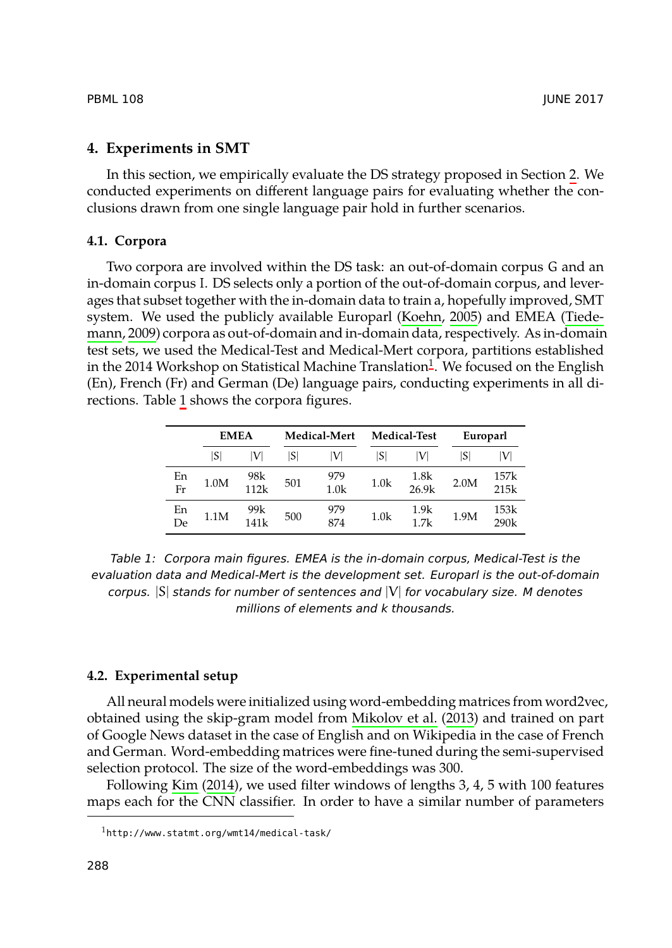### <span id="page-5-0"></span>**4. Experiments in SMT**

[In this se](#page-11-4)ction, we empirically evaluate the DS s[trategy](#page-10-12) [propo](#page-10-12)sed in Section [2. We](#page-11-4) conducted experiments on different language pairs for evaluating whether the conclusions drawn from one single language pair hold in f[ur](#page-5-1)ther scenarios.

### **4.1. Corpora**

Two corpora are involved within the DS task: an out-of-domain corpus G and an in-domain corpus I. DS selects only a portion of the out-of-domain corpus, and leverages that subset together with the in-domain data to train a, hopefully improved, SMT system. We used the publicly available Europarl (Koehn, 2005) and EMEA (Tiedemann, 2009) corpora as out-of-domain and in-domain data, respectively. As in-domain test sets, we used the Medical-Test and Medical-Mert corpora, partitions established in the 2014 Workshop on Statistical Machine Translation $^1$ . We focused on the English (En), French (Fr) and German (De) language pairs, conducting experiments in all directions. Table 1 shows the corpora figures.

|          | <b>EMEA</b> |             | Medical-Mert |                         | <b>Medical-Test</b> |               | Europarl |              |
|----------|-------------|-------------|--------------|-------------------------|---------------------|---------------|----------|--------------|
|          | ۱S۱         | V           | S            | IV                      | ISI                 | IV            | S        | V            |
| En<br>Fr | 1.0M        | 98k<br>112k | 501          | 979<br>1.0 <sub>k</sub> | 1.0k                | 1.8k<br>26.9k | 2.0M     | 157k<br>215k |
| En<br>De | 1.1M        | 99k<br>141k | 500          | 979<br>874              | 1.0k                | 1.9k<br>1.7k  | 1.9M     | 153k<br>290k |

*Table 1: Corpora main figures. EMEA ist[he in-domain corpus,](#page-11-5) Medical-Test is the evaluation data and Medical-Mert is the development set. Europarl is the out-of-domain corpus.* |S| *stands for number of sentences and* |V| *for vocabulary size. M denotes millions of elements and k thousands.*

#### <span id="page-5-1"></span>**4.2. Experimental setup**

All neural models were initialized using word-embedding matrices from word2vec, obtained using the skip-gram model from Mikolov et al. (2013) and trained on part of Google News dataset in the case of English and on Wikipedia in the case of French and German. Word-embedding matrices were fine-tuned during the semi-supervised selection protocol. The size of the word-embeddings was 300.

Following Kim (2014), we used filter windows of lengths 3, 4, 5 with 100 features maps each for the CNN classifier. In order to have a similar number of parameters

<sup>1</sup>http://www.statmt.org/wmt14/medical-task/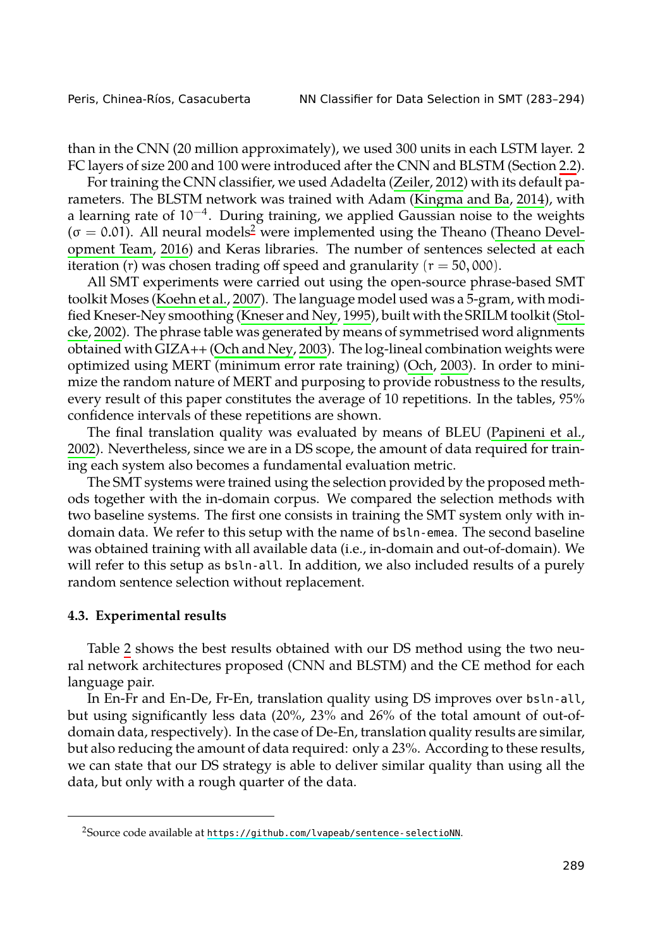|  | Peris, Chinea-Ríos, Casacuberta |  |  |  |
|--|---------------------------------|--|--|--|
|--|---------------------------------|--|--|--|

NN Classifier for Data Selection in SMT (283-294)

than in the C[NN \(20 million app](#page-10-13)roximately), we used 300 units in each LSTM layer. 2 [FC](#page-11-7) layers of size 200 and 100 [were introduced after](#page-10-14) the CNN and BLSTM (Section [2.2\).](#page-11-7)

[For tra](#page-11-7)ining the CNN classifier, we used Adadelta (Zeiler, 2012) with its default parameters. The BLSTM n[etwork was trained](#page-11-8) with Adam (Kingma and Ba, 2014), with a learning rate of 10−<sup>4</sup> . During training, we applied [Gauss](#page-11-9)i[an no](#page-11-9)ise to the weights  $(\sigma = 0.01)$ . All neural models<sup>2</sup> were implemented using the Theano (Theano Development Team, 2016) and Keras libraries. The number of sentences selected at each iteration (r) was chosen trading off speed and granularity ( $r = 50,000$ ).

All SMT experiments were carried out using the open-source ph[rase-based SMT](#page-11-10) [toolk](#page-11-10)it Moses (Koehn et al., 2007). The language model used was a 5-gram, with modified Kneser-Ney smoothing (Kneser and Ney, 1995), built with the SRILM toolkit (Stolcke, 2002). The phrase table was generated by means of symmetrised word alignments obtained with GIZA++ (Och and Ney, 2003). The log-lineal combination weights were optimized using MERT (minimum error rate training) (Och, 2003). In order to minimize the random nature of MERT and purposing to provide robustness to the results, every result of this paper constitutes the average of 10 repetitions. In the tables, 95% confidence intervals of these repetitions are shown.

The final translation quality was evaluated by means of BLEU (Papineni et al., 2002). Nevertheless, since we are in a DS scope, the amount of data required for training each system also becomes a fundamental evaluation metric.

The SMT systems were trained using the selection provided by the proposed methods toge[th](#page-7-0)er with the in-domain corpus. We compared the selection methods with two baseline systems. The first one consists in training the SMT system only with indomain data. We refer to this setup with the name of bsln-emea. The second baseline was obtained training with all available data (i.e., in-domain and out-of-domain). We will refer to this setup as bsln-all. In addition, we also included results of a purely random sentence selection without replacement.

#### **4.3. Experimental results**

Table 2 shows the best results obtained with our DS method using the two neural network architectu[res proposed \(CNN and BLSTM\) and the]( https://github.com/lvapeab/sentence-selectioNN) CE method for each language pair.

In En-Fr and En-De, Fr-En, translation quality using DS improves over bsln-all, but using significantly less data (20%, 23% and 26% of the total amount of out-ofdomain data, respectively). In the case of De-En, translation quality results are similar, but also reducing the amount of data required: only a 23%. According to these results, we can state that our DS strategy is able to deliver similar quality than using all the data, but only with a rough quarter of the data.

<sup>&</sup>lt;sup>2</sup>Source code available at https://github.com/lvapeab/sentence-selectioNN.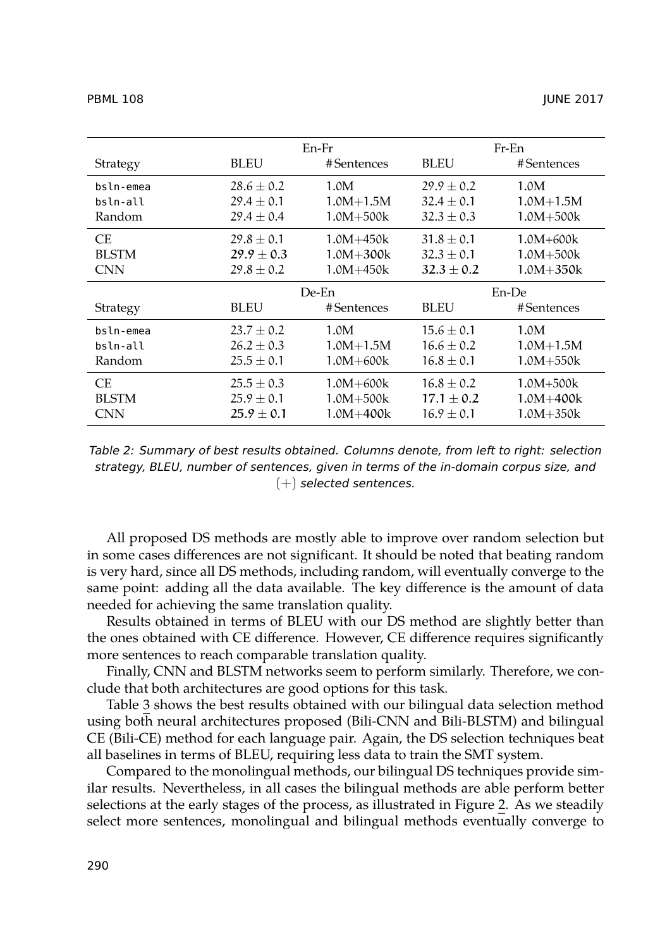<span id="page-7-0"></span>

|                |               | $Fr$ -En       |               |  |
|----------------|---------------|----------------|---------------|--|
| <b>BLEU</b>    | #Sentences    | <b>BLEU</b>    | #Sentences    |  |
| $28.6 + 0.2$   | 1.0M          | $29.9 + 0.2$   | 1.0M          |  |
| $29.4 + 0.1$   | $1.0M + 1.5M$ | $32.4 + 0.1$   | $1.0M + 1.5M$ |  |
| $29.4 \pm 0.4$ | $1.0M + 500k$ | $32.3 \pm 0.3$ | $1.0M + 500k$ |  |
| $29.8 + 0.1$   | $1.0M + 450k$ | $31.8 + 0.1$   | 1.0M+600k     |  |
| $29.9 + 0.3$   | $1.0M + 300k$ | $32.3 \pm 0.1$ | $1.0M + 500k$ |  |
| $29.8 \pm 0.2$ | 1.0M+450k     | $32.3 \pm 0.2$ | 1.0M+350k     |  |
| De-En          |               | En-De          |               |  |
| <b>BLEU</b>    | #Sentences    | <b>BLEU</b>    | #Sentences    |  |
| $23.7 + 0.2$   | 1.0M          | $15.6 + 0.1$   | 1.0M          |  |
| $26.2 + 0.3$   | $1.0M + 1.5M$ | $16.6 + 0.2$   | $1.0M + 1.5M$ |  |
| $25.5 \pm 0.1$ | $1.0M + 600k$ | $16.8 \pm 0.1$ | $1.0M + 550k$ |  |
| $25.5 \pm 0.3$ | $1.0M + 600k$ | $16.8 + 0.2$   | $1.0M + 500k$ |  |
| $25.9 + 0.1$   | $1.0M + 500k$ | $17.1 + 0.2$   | 1.0M+400k     |  |
| $25.9 \pm 0.1$ | 1.0M+400k     | $16.9 \pm 0.1$ | 1.0M+350k     |  |
|                |               | En-Fr          |               |  |

*Table 2: Summary of best results obtained. Columns denote, from left to right: selection strategy, BLEU, number of sentences, given in terms of the in-domain corpus size, and* (+) *selected sentences.*

All proposed DS methods are mostly able to improve over random selection but in some [ca](#page-8-1)ses differences are not significant. It should be noted that beating random is very hard, since all DS methods, including random, will eventually converge to the same point: adding all the data available. The key difference is the amount of data needed for achieving the same translation quality.

Results obtained in terms of BLEU with our DS method are slightly better than the ones obtained with CE difference. However, CE difference req[ui](#page-9-1)res significantly more sentences to reach comparable translation quality.

Finally, CNN and BLSTM networks seem to perform similarly. Therefore, we conclude that both architectures are good options for this task.

Table 3 shows the best results obtained with our bilingual data selection method using both neural architectures proposed (Bili-CNN and Bili-BLSTM) and bilingual CE (Bili-CE) method for each language pair. Again, the DS selection techniques beat all baselines in terms of BLEU, requiring less data to train the SMT system.

Compared to the monolingual methods, our bilingual DS techniques provide similar results. Nevertheless, in all cases the bilingual methods are able perform better selections at the early stages of the process, as illustrated in Figure 2. As we steadily select more sentences, monolingual and bilingual methods eventually converge to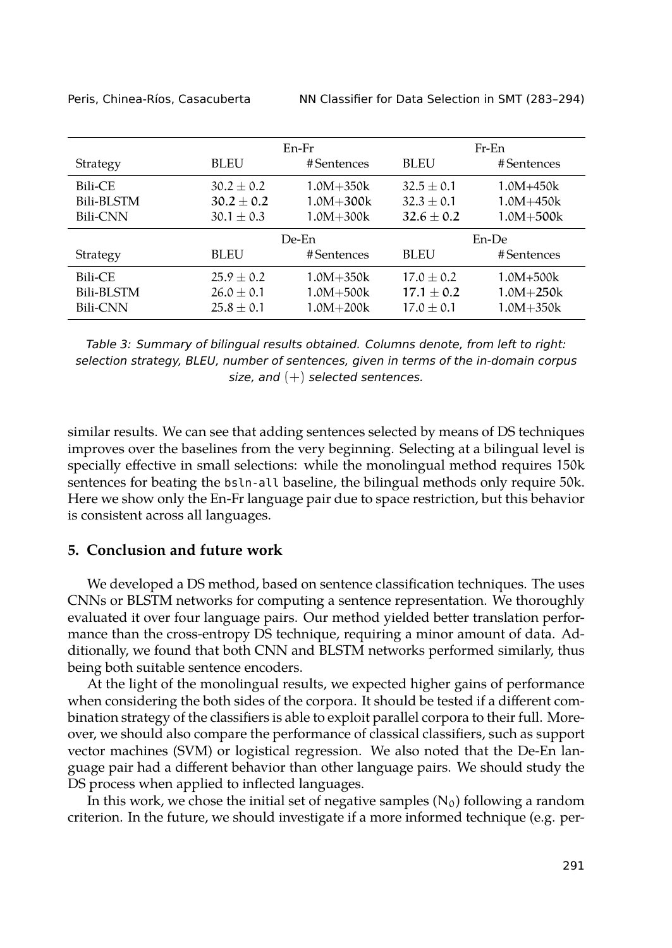<span id="page-8-1"></span>

|                 |                | En-Fr         | Fr-En        |               |  |
|-----------------|----------------|---------------|--------------|---------------|--|
| Strategy        | <b>BLEU</b>    | #Sentences    | <b>BLEU</b>  | #Sentences    |  |
| Bili-CE         | $30.2 + 0.2$   | $1.0M + 350k$ | $32.5 + 0.1$ | $1.0M + 450k$ |  |
| Bili-BLSTM      | $30.2 + 0.2$   | $1.0M + 300k$ | $32.3 + 0.1$ | $1.0M + 450k$ |  |
| <b>Bili-CNN</b> | $30.1 \pm 0.3$ | $1.0M + 300k$ | $32.6 + 0.2$ | $1.0M + 500k$ |  |
|                 | De-En          |               | En-De        |               |  |
| Strategy        | <b>BLEU</b>    | #Sentences    | <b>BLEU</b>  | #Sentences    |  |
| Bili-CE         | $25.9 + 0.2$   | $1.0M + 350k$ | $17.0 + 0.2$ | $1.0M + 500k$ |  |
| Bili-BLSTM      | $26.0 + 0.1$   | $1.0M + 500k$ | $17.1 + 0.2$ | $1.0M + 250k$ |  |
| Bili-CNN        | $25.8 + 0.1$   | $1.0M + 200k$ | $17.0 + 0.1$ | $1.0M + 350k$ |  |

Peris, Chinea-Ríos, Casacuberta NN Classifier for Data Selection in SMT (283–294)

*Table 3: Summary of bilingual results obtained. Columns denote, from left to right: selection strategy, BLEU, number of sentences, given in terms of the in-domain corpus size, and* (+) *selected sentences.*

similar results. We can see that adding sentences selected by means of DS techniques improves over the baselines from the very beginning. Selecting at a bilingual level is specially effective in small selections: while the monolingual method requires 150k sentences for beating the bsln-all baseline, the bilingual methods only require 50k. Here we show only the En-Fr language pair due to space restriction, but this behavior is consistent across all languages.

## <span id="page-8-0"></span>**5. Conclusion and future work**

We developed a DS method, based on sentence classification techniques. The uses CNNs or BLSTM networks for computing a sentence representation. We thoroughly evaluated it over four language pairs. Our method yielded better translation performance than the cross-entropy DS technique, requiring a minor amount of data. Additionally, we found that both CNN and BLSTM networks performed similarly, thus being both suitable sentence encoders.

At the light of the monolingual results, we expected higher gains of performance when considering the both sides of the corpora. It should be tested if a different combination strategy of the classifiers is able to exploit parallel corpora to their full. Moreover, we should also compare the performance of classical classifiers, such as support vector machines (SVM) or logistical regression. We also noted that the De-En language pair had a different behavior than other language pairs. We should study the DS process when applied to inflected languages.

In this work, we chose the initial set of negative samples  $(N_0)$  following a random criterion. In the future, we should investigate if a more informed technique (e.g. per-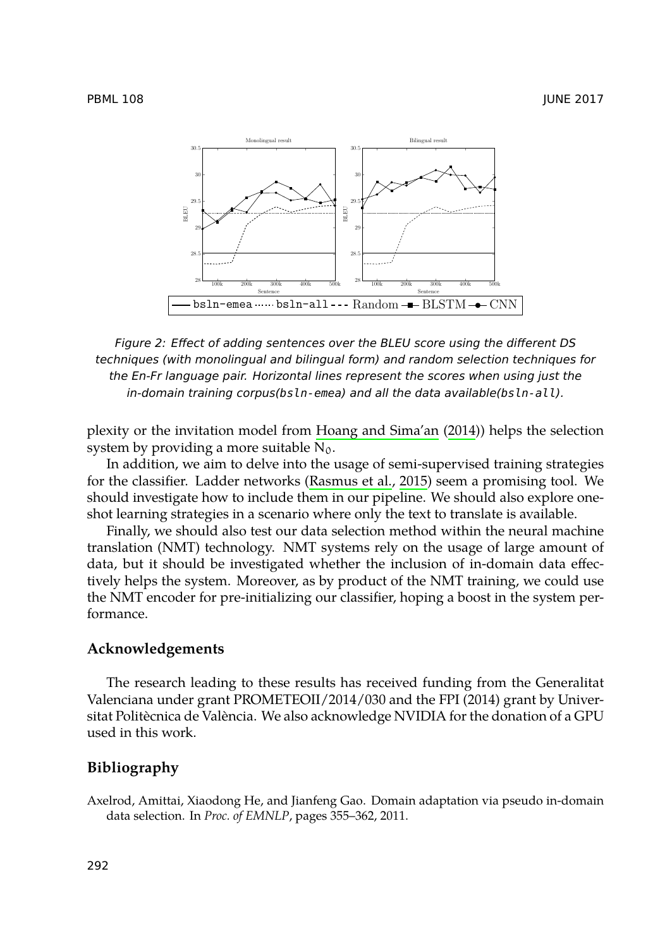<span id="page-9-1"></span>

*Figure 2: Effect of adding sentences over the BLEU score using the different DS techniques (with monolingual and bilingual form) and random selection techniques for the En-Fr language pair. Horizontal lines represent the scores when using just the in-domain training corpus(bsln-emea) and all the data available(bsln-all).*

plexity or the invitation model from Hoang and Sima'an (2014)) helps the selection system by providing a more suitable  $N_0$ .

In addition, we aim to delve into the usage of semi-supervised training strategies for the classifier. Ladder networks (Rasmus et al., 2015) seem a promising tool. We should investigate how to include them in our pipeline. We should also explore oneshot learning strategies in a scenario where only the text to translate is available.

Finally, we should also test our data selection method within the neural machine translation (NMT) technology. NMT systems rely on the usage of large amount of data, but it should be investigated whether the inclusion of in-domain data effectively helps the system. Moreover, as by product of the NMT training, we could use the NMT encoder for pre-initializing our classifier, hoping a boost in the system performance.

### <span id="page-9-0"></span>**Acknowledgements**

The research leading to these results has received funding from the Generalitat Valenciana under grant PROMETEOII/2014/030 and the FPI (2014) grant by Universitat Politècnica de València. We also acknowledge NVIDIA for the donation of a GPU used in this work.

## **Bibliography**

Axelrod, Amittai, Xiaodong He, and Jianfeng Gao. Domain adaptation via pseudo in-domain data selection. In *Proc. of EMNLP*, pages 355–362, 2011.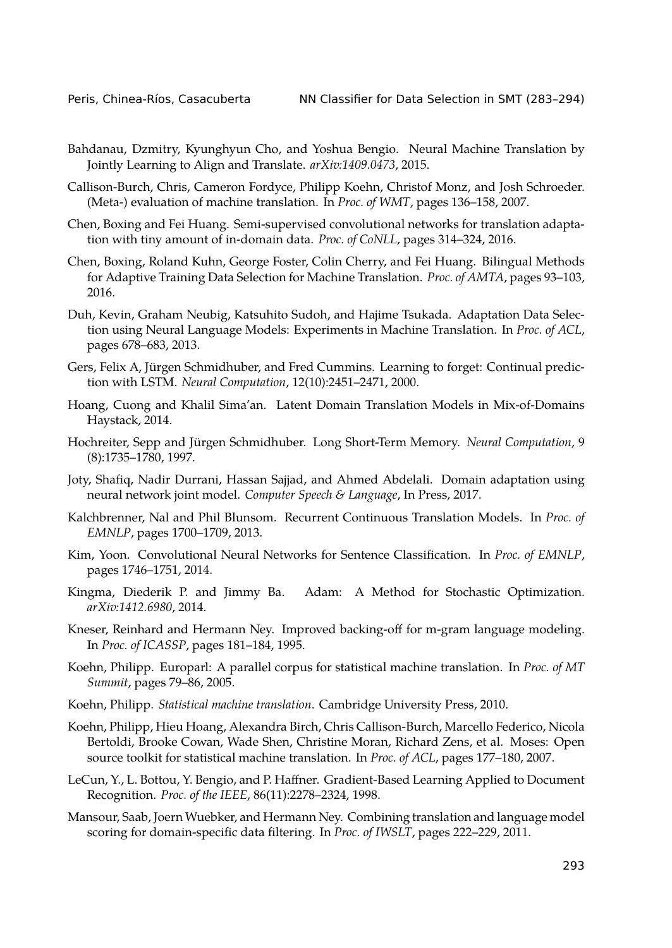- <span id="page-10-2"></span>Bahdanau, Dzmitry, Kyunghyun Cho, and Yoshua Bengio. Neural Machine Translation by Jointly Learning to Align and Translate. *arXiv:1409.0473*, 2015.
- <span id="page-10-0"></span>Callison-Burch, Chris, Cameron Fordyce, Philipp Koehn, Christof Monz, and Josh Schroeder. (Meta-) evaluation of machine translation. In *Proc. of WMT*, pages 136–158, 2007.
- <span id="page-10-6"></span>Chen, Boxing and Fei Huang. Semi-supervised convolutional networks for translation adaptation with tiny amount of in-domain data. *Proc. of CoNLL*, pages 314–324, 2016.
- <span id="page-10-7"></span>Chen, Boxing, Roland Kuhn, George Foster, Colin Cherry, and Fei Huang. Bilingual Methods for Adaptive Training Data Selection for Machine Translation. *Proc. of AMTA*, pages 93–103, 2016.
- <span id="page-10-4"></span>Duh, Kevin, Graham Neubig, Katsuhito Sudoh, and Hajime Tsukada. Adaptation Data Selection using Neural Language Models: Experiments in Machine Translation. In *Proc. of ACL*, pages 678–683, 2013.
- <span id="page-10-11"></span>Gers, Felix A, Jürgen Schmidhuber, and Fred Cummins. Learning to forget: Continual prediction with LSTM. *Neural Computation*, 12(10):2451–2471, 2000.
- <span id="page-10-15"></span>Hoang, Cuong and Khalil Sima'an. Latent Domain Translation Models in Mix-of-Domains Haystack, 2014.
- <span id="page-10-10"></span>Hochreiter, Sepp and Jürgen Schmidhuber. Long Short-Term Memory. *Neural Computation*, 9 (8):1735–1780, 1997.
- <span id="page-10-3"></span>Joty, Shafiq, Nadir Durrani, Hassan Sajjad, and Ahmed Abdelali. Domain adaptation using neural network joint model. *Computer Speech & Language*, In Press, 2017.
- <span id="page-10-8"></span>Kalchbrenner, Nal and Phil Blunsom. Recurrent Continuous Translation Models. In *Proc. of EMNLP*, pages 1700–1709, 2013.
- <span id="page-10-9"></span>Kim, Yoon. Convolutional Neural Networks for Sentence Classification. In *Proc. of EMNLP*, pages 1746–1751, 2014.
- Kingma, Diederik P. and Jimmy Ba. Adam: A Method for Stochastic Optimization. *arXiv:1412.6980*, 2014.
- <span id="page-10-14"></span>Kneser, Reinhard and Hermann Ney. Improved backing-off for m-gram language modeling. In *Proc. of ICASSP*, pages 181–184, 1995.
- <span id="page-10-12"></span>Koehn, Philipp. Europarl: A parallel corpus for statistical machine translation. In *Proc. of MT Summit*, pages 79–86, 2005.
- <span id="page-10-1"></span>Koehn, Philipp. *Statistical machine translation*. Cambridge University Press, 2010.
- <span id="page-10-13"></span>Koehn, Philipp, Hieu Hoang, Alexandra Birch, Chris Callison-Burch, Marcello Federico, Nicola Bertoldi, Brooke Cowan, Wade Shen, Christine Moran, Richard Zens, et al. Moses: Open source toolkit for statistical machine translation. In *Proc. of ACL*, pages 177–180, 2007.
- <span id="page-10-5"></span>LeCun, Y., L. Bottou, Y. Bengio, and P. Haffner. Gradient-Based Learning Applied to Document Recognition. *Proc. of the IEEE*, 86(11):2278–2324, 1998.
- Mansour, Saab, Joern Wuebker, and Hermann Ney. Combining translation and language model scoring for domain-specific data filtering. In *Proc. of IWSLT*, pages 222–229, 2011.